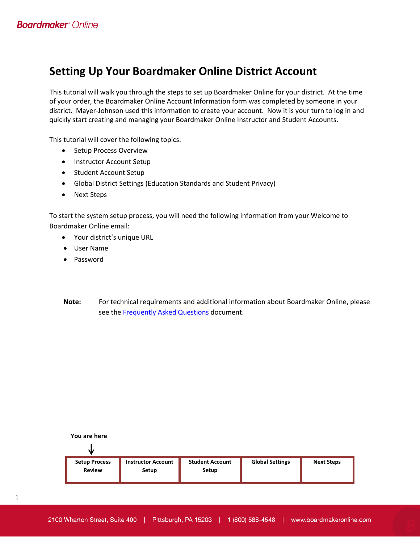# **Setting Up Your Boardmaker Online District Account**

This tutorial will walk you through the steps to set up Boardmaker Online for your district. At the time of your order, the Boardmaker Online Account Information form was completed by someone in your district. Mayer-Johnson used this information to create your account. Now it is your turn to log in and quickly start creating and managing your Boardmaker Online Instructor and Student Accounts.

This tutorial will cover the following topics:

- Setup Process Overview
- Instructor Account Setup
- Student Account Setup
- Global District Settings (Education Standards and Student Privacy)
- Next Steps

To start the system setup process, you will need the following information from your Welcome to Boardmaker Online email:

- Your district's unique URL
- User Name
- Password
- **Note:** For technical requirements and additional information about Boardmaker Online, please see the **Frequently Asked Questions** document.



1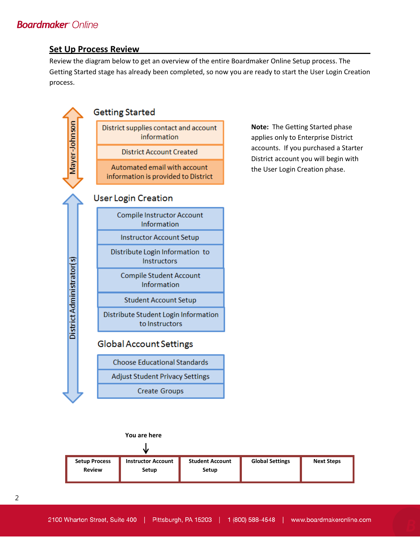### **Set Up Process Review**

Review the diagram below to get an overview of the entire Boardmaker Online Setup process. The Getting Started stage has already been completed, so now you are ready to start the User Login Creation process.



**Note:** The Getting Started phase applies only to Enterprise District accounts. If you purchased a Starter District account you will begin with the User Login Creation phase.

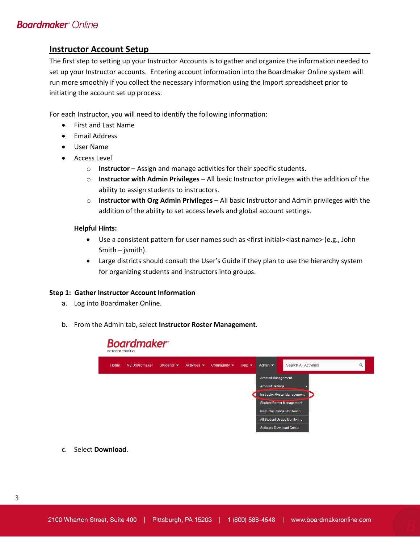### **Instructor Account Setup**

The first step to setting up your Instructor Accounts is to gather and organize the information needed to set up your Instructor accounts. Entering account information into the Boardmaker Online system will run more smoothly if you collect the necessary information using the Import spreadsheet prior to initiating the account set up process.

For each Instructor, you will need to identify the following information:

- First and Last Name
- Email Address
- User Name
- Access Level
	- o **Instructor** Assign and manage activities for their specific students.
	- o **Instructor with Admin Privileges** All basic Instructor privileges with the addition of the ability to assign students to instructors.
	- o **Instructor with Org Admin Privileges** All basic Instructor and Admin privileges with the addition of the ability to set access levels and global account settings.

#### **Helpful Hints:**

- Use a consistent pattern for user names such as <first initial><last name> (e.g., John Smith – jsmith).
- Large districts should consult the User's Guide if they plan to use the hierarchy system for organizing students and instructors into groups.

#### **Step 1: Gather Instructor Account Information**

- a. Log into Boardmaker Online.
- b. From the Admin tab, select **Instructor Roster Management**.



c. Select **Download**.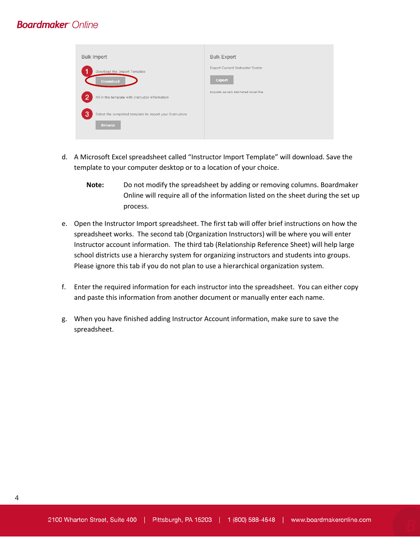| <b>Bulk Import</b>                                                             | <b>Bulk Export</b>                                |
|--------------------------------------------------------------------------------|---------------------------------------------------|
| Download the Import Template<br><b>Download</b>                                | Export Current Instructor Roster<br><b>Export</b> |
| 2<br>Fill in the template with Instructor information                          | Exports as tab delimited Excel file               |
| 3<br>Select the completed template to import your Instructors<br><b>Browse</b> |                                                   |

- d. A Microsoft Excel spreadsheet called "Instructor Import Template" will download. Save the template to your computer desktop or to a location of your choice.
	- **Note:** Do not modify the spreadsheet by adding or removing columns. Boardmaker Online will require all of the information listed on the sheet during the set up process.
- e. Open the Instructor Import spreadsheet. The first tab will offer brief instructions on how the spreadsheet works. The second tab (Organization Instructors) will be where you will enter Instructor account information. The third tab (Relationship Reference Sheet) will help large school districts use a hierarchy system for organizing instructors and students into groups. Please ignore this tab if you do not plan to use a hierarchical organization system.
- f. Enter the required information for each instructor into the spreadsheet. You can either copy and paste this information from another document or manually enter each name.
- g. When you have finished adding Instructor Account information, make sure to save the spreadsheet.

4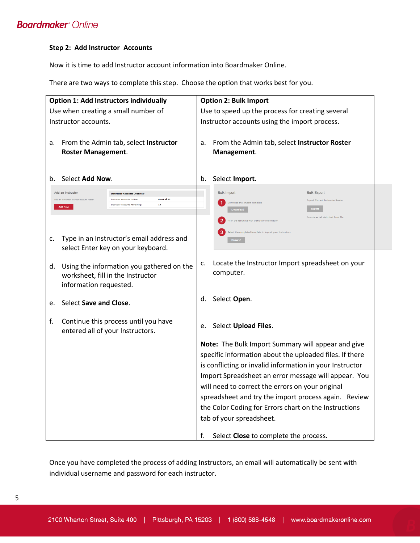#### **Step 2: Add Instructor Accounts**

Now it is time to add Instructor account information into Boardmaker Online.

There are two ways to complete this step. Choose the option that works best for you.



Once you have completed the process of adding Instructors, an email will automatically be sent with individual username and password for each instructor.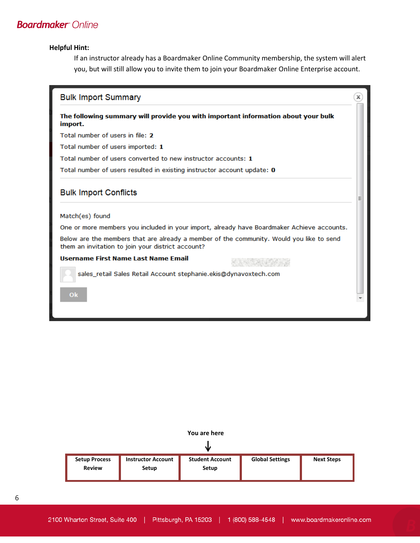#### **Helpful Hint:**

If an instructor already has a Boardmaker Online Community membership, the system will alert you, but will still allow you to invite them to join your Boardmaker Online Enterprise account.

| <b>Bulk Import Summary</b>                                                                                                                    |  |
|-----------------------------------------------------------------------------------------------------------------------------------------------|--|
| The following summary will provide you with important information about your bulk<br>import.                                                  |  |
| Total number of users in file: 2                                                                                                              |  |
| Total number of users imported: 1                                                                                                             |  |
| Total number of users converted to new instructor accounts: 1                                                                                 |  |
| Total number of users resulted in existing instructor account update: 0                                                                       |  |
| <b>Bulk Import Conflicts</b>                                                                                                                  |  |
| Match(es) found                                                                                                                               |  |
| One or more members you included in your import, already have Boardmaker Achieve accounts.                                                    |  |
| Below are the members that are already a member of the community. Would you like to send<br>them an invitation to join your district account? |  |
| Username First Name Last Name Email                                                                                                           |  |
| sales_retail Sales Retail Account stephanie.ekis@dynavoxtech.com                                                                              |  |
| Ok                                                                                                                                            |  |
|                                                                                                                                               |  |



| <b>Setup Process</b><br><b>Review</b> | <b>Instructor Account</b><br>Setup | <b>Student Account</b><br>Setup | <b>Global Settings</b> | <b>Next Steps</b> |
|---------------------------------------|------------------------------------|---------------------------------|------------------------|-------------------|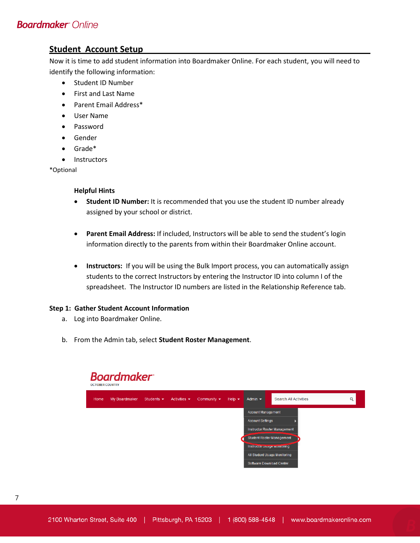### **Student Account Setup**

Now it is time to add student information into Boardmaker Online. For each student, you will need to identify the following information:

- Student ID Number
- First and Last Name
- Parent Email Address\*
- User Name
- Password
- Gender
- Grade\*
- **Instructors**

\*Optional

#### **Helpful Hints**

- **Student ID Number:** It is recommended that you use the student ID number already assigned by your school or district.
- **Parent Email Address:** If included, Instructors will be able to send the student's login information directly to the parents from within their Boardmaker Online account.
- **Instructors:** If you will be using the Bulk Import process, you can automatically assign students to the correct Instructors by entering the Instructor ID into column I of the spreadsheet. The Instructor ID numbers are listed in the Relationship Reference tab.

#### **Step 1: Gather Student Account Information**

- a. Log into Boardmaker Online.
- b. From the Admin tab, select **Student Roster Management**.

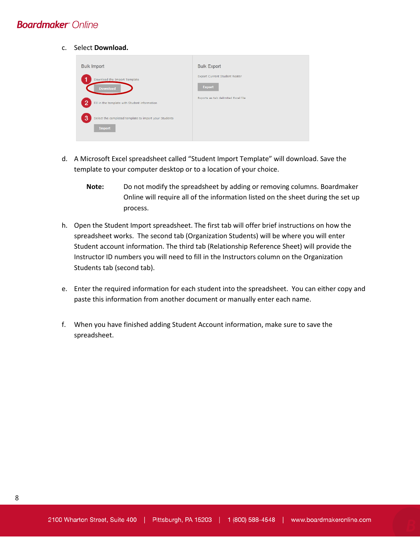c. Select **Download.** 

| <b>Bulk Import</b>                                                          | <b>Bulk Export</b>                                    |
|-----------------------------------------------------------------------------|-------------------------------------------------------|
| Download the Import Template<br><b>Download</b>                             | <b>Export Current Student Roster</b><br><b>Export</b> |
| 72.<br>Fill in the template with Student information                        | Exports as tab delimited Excel file                   |
| 3<br>Select the completed template to import your Students<br><b>Import</b> |                                                       |

- d. A Microsoft Excel spreadsheet called "Student Import Template" will download. Save the template to your computer desktop or to a location of your choice.
	- **Note:** Do not modify the spreadsheet by adding or removing columns. Boardmaker Online will require all of the information listed on the sheet during the set up process.
- h. Open the Student Import spreadsheet. The first tab will offer brief instructions on how the spreadsheet works. The second tab (Organization Students) will be where you will enter Student account information. The third tab (Relationship Reference Sheet) will provide the Instructor ID numbers you will need to fill in the Instructors column on the Organization Students tab (second tab).
- e. Enter the required information for each student into the spreadsheet. You can either copy and paste this information from another document or manually enter each name.
- f. When you have finished adding Student Account information, make sure to save the spreadsheet.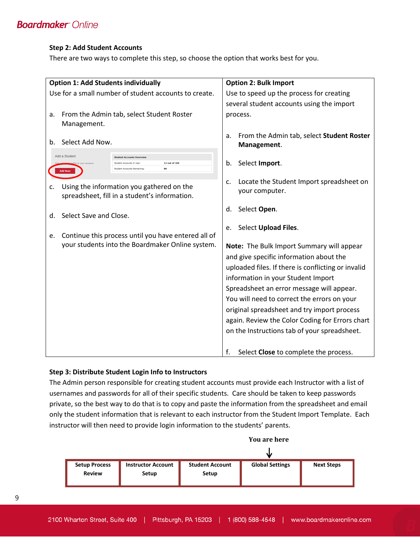#### **Step 2: Add Student Accounts**

There are two ways to complete this step, so choose the option that works best for you.

| <b>Option 1: Add Students individually</b>                                                                                                                                     | <b>Option 2: Bulk Import</b>                                                             |
|--------------------------------------------------------------------------------------------------------------------------------------------------------------------------------|------------------------------------------------------------------------------------------|
| Use for a small number of student accounts to create.                                                                                                                          | Use to speed up the process for creating                                                 |
|                                                                                                                                                                                | several student accounts using the import                                                |
| From the Admin tab, select Student Roster<br>a.                                                                                                                                | process.                                                                                 |
| Management.                                                                                                                                                                    |                                                                                          |
| Select Add Now.<br>b.                                                                                                                                                          | From the Admin tab, select Student Roster<br>a.<br>Management.                           |
| Add a Student<br><b>Student Accounts Overview</b><br>12 out of 100<br>Student Accounts In User<br>ofile to your account<br>ŔŔ<br>Student Accounts Remaining:<br><b>Add Now</b> | Select Import.<br>b.                                                                     |
| Using the information you gathered on the<br>c.<br>spreadsheet, fill in a student's information.                                                                               | Locate the Student Import spreadsheet on<br>c.<br>your computer.                         |
| Select Save and Close.<br>d.                                                                                                                                                   | Select Open.<br>d.                                                                       |
|                                                                                                                                                                                | Select Upload Files.<br>e.                                                               |
| Continue this process until you have entered all of<br>e.<br>your students into the Boardmaker Online system.                                                                  |                                                                                          |
|                                                                                                                                                                                | Note: The Bulk Import Summary will appear                                                |
|                                                                                                                                                                                | and give specific information about the                                                  |
|                                                                                                                                                                                | uploaded files. If there is conflicting or invalid<br>information in your Student Import |
|                                                                                                                                                                                | Spreadsheet an error message will appear.                                                |
|                                                                                                                                                                                | You will need to correct the errors on your                                              |
|                                                                                                                                                                                | original spreadsheet and try import process                                              |
|                                                                                                                                                                                | again. Review the Color Coding for Errors chart                                          |
|                                                                                                                                                                                | on the Instructions tab of your spreadsheet.                                             |
|                                                                                                                                                                                |                                                                                          |
|                                                                                                                                                                                | f.<br>Select Close to complete the process.                                              |

#### **Step 3: Distribute Student Login Info to Instructors**

The Admin person responsible for creating student accounts must provide each Instructor with a list of usernames and passwords for all of their specific students. Care should be taken to keep passwords private, so the best way to do that is to copy and paste the information from the spreadsheet and email only the student information that is relevant to each instructor from the Student Import Template. Each instructor will then need to provide login information to the students' parents.



9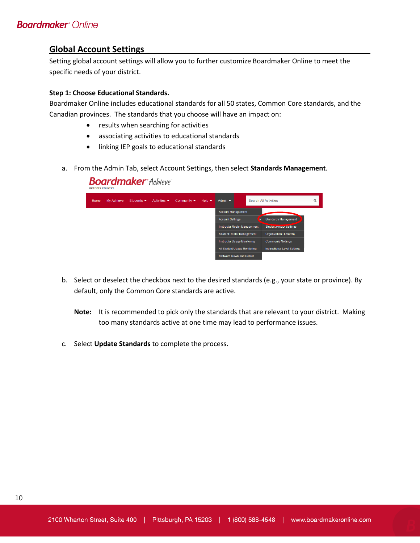### **Global Account Settings**

Setting global account settings will allow you to further customize Boardmaker Online to meet the specific needs of your district.

#### **Step 1: Choose Educational Standards.**

Boardmaker Online includes educational standards for all 50 states, Common Core standards, and the Canadian provinces. The standards that you choose will have an impact on:

- results when searching for activities
- associating activities to educational standards
- linking IEP goals to educational standards
- a. From the Admin Tab, select Account Settings, then select **Standards Management**.

| <b>OCTOBER COUNTRY</b> |            |                                | <b>Boardmaker</b> Achieve        |                                 |                            |                                     |                          |                                 |   |
|------------------------|------------|--------------------------------|----------------------------------|---------------------------------|----------------------------|-------------------------------------|--------------------------|---------------------------------|---|
| Home                   | My Achieve | Students $\blacktriangleright$ | Activities $\blacktriangleright$ | Community $\blacktriangleright$ | Help $\blacktriangleright$ | Admin $\blacktriangleright$         |                          | <b>Search All Activities</b>    | Q |
|                        |            |                                |                                  |                                 |                            | <b>Account Management</b>           |                          |                                 |   |
|                        |            |                                |                                  |                                 |                            | <b>Account Settings</b>             |                          | <b>Standards Management</b>     |   |
|                        |            |                                |                                  |                                 |                            | <b>Instructor Roster Management</b> |                          | Student <b>Privacy Settings</b> |   |
|                        |            |                                |                                  |                                 |                            | <b>Student Roster Management</b>    |                          | <b>Organization Hierarchy</b>   |   |
|                        |            |                                |                                  |                                 |                            | <b>Instructor Usage Monitoring</b>  |                          | <b>Community Settings</b>       |   |
|                        |            |                                |                                  |                                 |                            | All Student Usage Monitoring        |                          | Instructional Level Settings    |   |
|                        |            |                                |                                  |                                 |                            |                                     | Software Download Center |                                 |   |

- b. Select or deselect the checkbox next to the desired standards (e.g., your state or province). By default, only the Common Core standards are active.
	- **Note:** It is recommended to pick only the standards that are relevant to your district. Making too many standards active at one time may lead to performance issues.
- c. Select **Update Standards** to complete the process.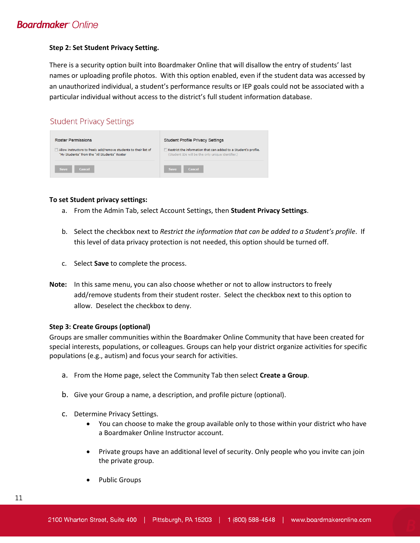#### **Step 2: Set Student Privacy Setting.**

There is a security option built into Boardmaker Online that will disallow the entry of students' last names or uploading profile photos. With this option enabled, even if the student data was accessed by an unauthorized individual, a student's performance results or IEP goals could not be associated with a particular individual without access to the district's full student information database.

### **Student Privacy Settings**

| <b>Roster Permissions</b>                                        | <b>Student Profile Privacy Settings</b>                         |
|------------------------------------------------------------------|-----------------------------------------------------------------|
| Allow instructors to freely add/remove students to their list of | Restrict the information that can added to a Student's profile. |
| "My Students" from the "All Students" Roster                     | (Student IDs will be the only unique identifier.)               |
| Cancel                                                           | Cancel                                                          |
| <b>Save</b>                                                      | <b>Save</b>                                                     |

#### **To set Student privacy settings:**

- a. From the Admin Tab, select Account Settings, then **Student Privacy Settings**.
- b. Select the checkbox next to *Restrict the information that can be added to a Student's profile*. If this level of data privacy protection is not needed, this option should be turned off.
- c. Select **Save** to complete the process.
- **Note:** In this same menu, you can also choose whether or not to allow instructors to freely add/remove students from their student roster. Select the checkbox next to this option to allow. Deselect the checkbox to deny.

#### **Step 3: Create Groups (optional)**

Groups are smaller communities within the Boardmaker Online Community that have been created for special interests, populations, or colleagues. Groups can help your district organize activities for specific populations (e.g., autism) and focus your search for activities.

- a. From the Home page, select the Community Tab then select **Create a Group**.
- b. Give your Group a name, a description, and profile picture (optional).
- c. Determine Privacy Settings.
	- You can choose to make the group available only to those within your district who have a Boardmaker Online Instructor account.
	- Private groups have an additional level of security. Only people who you invite can join the private group.
	- Public Groups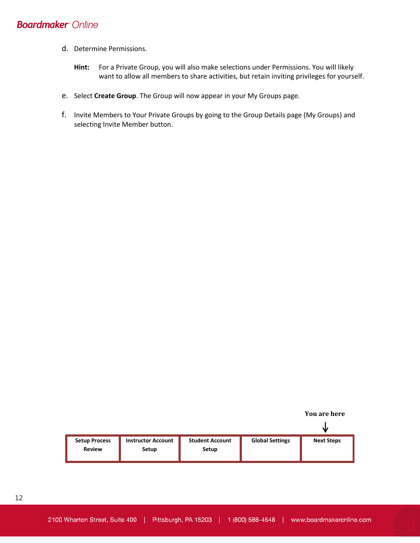- d. Determine Permissions.
	- **Hint:** For a Private Group, you will also make selections under Permissions. You will likely want to allow all members to share activities, but retain inviting privileges for yourself.
- e. Select **Create Group**. The Group will now appear in your My Groups page.
- f. Invite Members to Your Private Groups by going to the Group Details page (My Groups) and selecting Invite Member button.